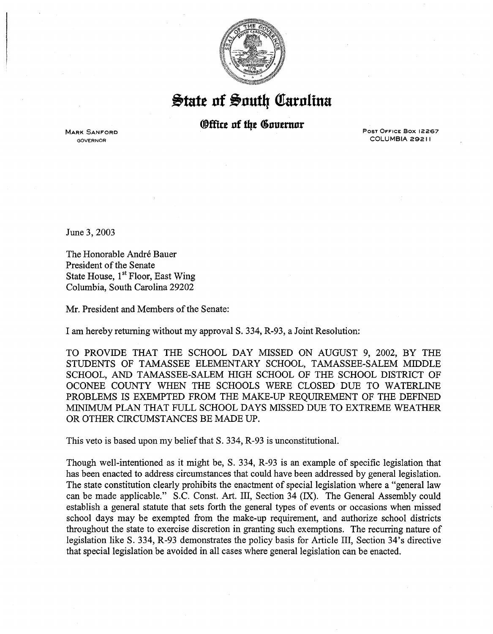

 $\frac{1}{2}$  tate of South Carolina

## *<u>®ffice</u>* of the Governor

MARK SANFORD GOVERNOR

Post OFFICE Box 12267 COLUMBIA 29211

June 3, 2003

The Honorable André Bauer President of the Senate State House, 1<sup>st</sup> Floor, East Wing Columbia, South Carolina 29202

Mr. President and Members of the Senate:

I am hereby returning without my approval S. 334, R-93, a Joint Resolution:

TO PROVIDE THAT THE SCHOOL DAY MISSED ON AUGUST 9, 2002, BY THE STUDENTS OF TAMASSEE ELEMENTARY SCHOOL, TAMASSEE-SALEM MIDDLE SCHOOL, AND TAMASSEE-SALEM HIGH SCHOOL OF THE SCHOOL DISTRICT OF OCONEE COUNTY WHEN THE SCHOOLS WERE CLOSED DUE TO WATERLINE PROBLEMS IS EXEMPTED FROM THE MAKE-UP REQUIREMENT OF THE DEFINED MINIMUM PLAN THAT FULL SCHOOL DAYS MISSED DUE TO EXTREME WEATHER OR OTHER CIRCUMSTANCES BE MADE UP.

This veto is based upon my belief that S. 334, R-93 is unconstitutional.

Though well-intentioned as it might be, S. 334, R-93 is an example of specific legislation that has been enacted to address circumstances that could have been addressed by general legislation. The state constitution clearly prohibits the enactment of special legislation where a "general law can be made applicable." S.C. Const. Art. III, Section 34 (IX). The General Assembly could establish a general statute that sets forth the general types of events or occasions when missed school days may be exempted from the make-up requirement, and authorize school districts throughout the state to exercise discretion in granting such exemptions. The recurring nature of legislation like S. 334, R-93 demonstrates the policy basis for Article III, Section 34's directive that special legislation be avoided in all cases where general legislation can be enacted.